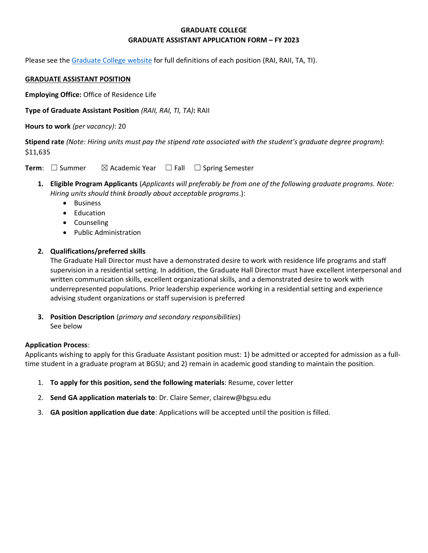# **GRADUATE COLLEGE GRADUATE ASSISTANT APPLICATION FORM – FY 2023**

Please see the [Graduate College website](https://www.bgsu.edu/content/dam/BGSU/graduate-college/GADocs/Grad-Col-GA-Position-Descriptions-21-22.pdf) for full definitions of each position (RAI, RAII, TA, TI).

### **GRADUATE ASSISTANT POSITION**

**Employing Office:** Office of Residence Life

**Type of Graduate Assistant Position** *(RAII, RAI, TI, TA)***:** RAII

**Hours to work** *(per vacancy)*: 20

**Stipend rate** *(Note: Hiring units must pay the stipend rate associated with the student's graduate degree program)*: \$11,635

**Term**: □ Summer  $\boxtimes$  Academic Year □ Fall □ Spring Semester

- **1. Eligible Program Applicants** (*Applicants will preferably be from one of the following graduate programs. Note: Hiring units should think broadly about acceptable programs*.):
	- Business
	- Education
	- Counseling
	- Public Administration

## **2. Qualifications/preferred skills**

The Graduate Hall Director must have a demonstrated desire to work with residence life programs and staff supervision in a residential setting. In addition, the Graduate Hall Director must have excellent interpersonal and written communication skills, excellent organizational skills, and a demonstrated desire to work with underrepresented populations. Prior leadership experience working in a residential setting and experience advising student organizations or staff supervision is preferred

**3. Position Description** (*primary and secondary responsibilities*) See below

#### **Application Process**:

Applicants wishing to apply for this Graduate Assistant position must: 1) be admitted or accepted for admission as a fulltime student in a graduate program at BGSU; and 2) remain in academic good standing to maintain the position.

- 1. **To apply for this position, send the following materials**: Resume, cover letter
- 2. **Send GA application materials to**: Dr. Claire Semer, clairew@bgsu.edu
- 3. **GA position application due date**: Applications will be accepted until the position is filled.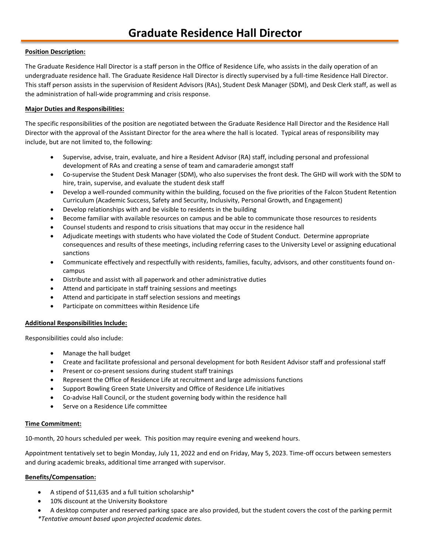#### **Position Description:**

The Graduate Residence Hall Director is a staff person in the Office of Residence Life, who assists in the daily operation of an undergraduate residence hall. The Graduate Residence Hall Director is directly supervised by a full-time Residence Hall Director. This staff person assists in the supervision of Resident Advisors (RAs), Student Desk Manager (SDM), and Desk Clerk staff, as well as the administration of hall-wide programming and crisis response.

#### **Major Duties and Responsibilities:**

The specific responsibilities of the position are negotiated between the Graduate Residence Hall Director and the Residence Hall Director with the approval of the Assistant Director for the area where the hall is located. Typical areas of responsibility may include, but are not limited to, the following:

- Supervise, advise, train, evaluate, and hire a Resident Advisor (RA) staff, including personal and professional development of RAs and creating a sense of team and camaraderie amongst staff
- Co-supervise the Student Desk Manager (SDM), who also supervises the front desk. The GHD will work with the SDM to hire, train, supervise, and evaluate the student desk staff
- Develop a well-rounded community within the building, focused on the five priorities of the Falcon Student Retention Curriculum (Academic Success, Safety and Security, Inclusivity, Personal Growth, and Engagement)
- Develop relationships with and be visible to residents in the building
- Become familiar with available resources on campus and be able to communicate those resources to residents
- Counsel students and respond to crisis situations that may occur in the residence hall
- Adjudicate meetings with students who have violated the Code of Student Conduct. Determine appropriate consequences and results of these meetings, including referring cases to the University Level or assigning educational sanctions
- Communicate effectively and respectfully with residents, families, faculty, advisors, and other constituents found oncampus
- Distribute and assist with all paperwork and other administrative duties
- Attend and participate in staff training sessions and meetings
- Attend and participate in staff selection sessions and meetings
- Participate on committees within Residence Life

#### **Additional Responsibilities Include:**

Responsibilities could also include:

- Manage the hall budget
- Create and facilitate professional and personal development for both Resident Advisor staff and professional staff
- Present or co-present sessions during student staff trainings
- Represent the Office of Residence Life at recruitment and large admissions functions
- Support Bowling Green State University and Office of Residence Life initiatives
- Co-advise Hall Council, or the student governing body within the residence hall
- Serve on a Residence Life committee

#### **Time Commitment:**

10-month, 20 hours scheduled per week. This position may require evening and weekend hours.

Appointment tentatively set to begin Monday, July 11, 2022 and end on Friday, May 5, 2023. Time-off occurs between semesters and during academic breaks, additional time arranged with supervisor.

#### **Benefits/Compensation:**

- A stipend of \$11,635 and a full tuition scholarship\*
- 10% discount at the University Bookstore
- A desktop computer and reserved parking space are also provided, but the student covers the cost of the parking permit *\*Tentative amount based upon projected academic dates.*